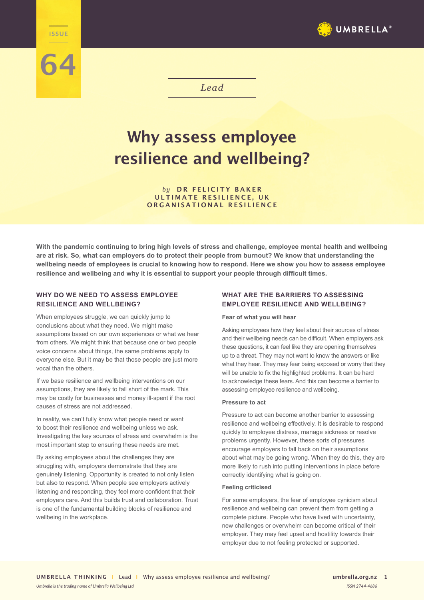

## *Lead*

# **Why assess employee resilience and wellbeing?**

*by* **DR FELICITY BAKER ULTIMATE RESILIENCE, UK ORGANISATIONAL RESILIENCE**

**With the pandemic continuing to bring high levels of stress and challenge, employee mental health and wellbeing are at risk. So, what can employers do to protect their people from burnout? We know that understanding the wellbeing needs of employees is crucial to knowing how to respond. Here we show you how to assess employee resilience and wellbeing and why it is essential to support your people through difficult times.**

## **WHY DO WE NEED TO ASSESS EMPLOYEE RESILIENCE AND WELLBEING?**

**Lead ISSUE**

**64**

When employees struggle, we can quickly jump to conclusions about what they need. We might make assumptions based on our own experiences or what we hear from others. We might think that because one or two people voice concerns about things, the same problems apply to everyone else. But it may be that those people are just more vocal than the others.

If we base resilience and wellbeing interventions on our assumptions, they are likely to fall short of the mark. This may be costly for businesses and money ill-spent if the root causes of stress are not addressed.

In reality, we can't fully know what people need or want to boost their resilience and wellbeing unless we ask. Investigating the key sources of stress and overwhelm is the most important step to ensuring these needs are met.

By asking employees about the challenges they are struggling with, employers demonstrate that they are genuinely listening. Opportunity is created to not only listen but also to respond. When people see employers actively listening and responding, they feel more confident that their employers care. And this builds trust and collaboration. Trust is one of the fundamental building blocks of resilience and wellbeing in the workplace.

## **WHAT ARE THE BARRIERS TO ASSESSING EMPLOYEE RESILIENCE AND WELLBEING?**

#### **Fear of what you will hear**

Asking employees how they feel about their sources of stress and their wellbeing needs can be difficult. When employers ask these questions, it can feel like they are opening themselves up to a threat. They may not want to know the answers or like what they hear. They may fear being exposed or worry that they will be unable to fix the highlighted problems. It can be hard to acknowledge these fears. And this can become a barrier to assessing employee resilience and wellbeing.

#### **Pressure to act**

Pressure to act can become another barrier to assessing resilience and wellbeing effectively. It is desirable to respond quickly to employee distress, manage sickness or resolve problems urgently. However, these sorts of pressures encourage employers to fall back on their assumptions about what may be going wrong. When they do this, they are more likely to rush into putting interventions in place before correctly identifying what is going on.

#### **Feeling criticised**

For some employers, the fear of employee cynicism about resilience and wellbeing can prevent them from getting a complete picture. People who have lived with uncertainty, new challenges or overwhelm can become critical of their employer. They may feel upset and hostility towards their employer due to not feeling protected or supported.

*Umbrella is the trading name of Umbrella Wellbeing Ltd ISSN 2744-4686*